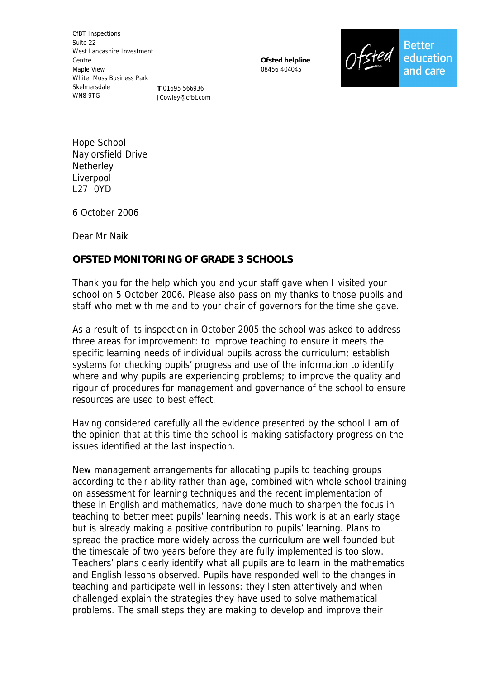CfBT Inspections Suite 22 West Lancashire Investment Centre Maple View White Moss Business Park Skelmersdale WN8 9TG **T** 01695 566936 JCowley@cfbt.com

08456 404045

**Ofsted helpline** 



Hope School Naylorsfield Drive **Netherley** Liverpool L27 0YD

6 October 2006

Dear Mr Naik

## **OFSTED MONITORING OF GRADE 3 SCHOOLS**

Thank you for the help which you and your staff gave when I visited your school on 5 October 2006. Please also pass on my thanks to those pupils and staff who met with me and to your chair of governors for the time she gave.

As a result of its inspection in October 2005 the school was asked to address three areas for improvement: to improve teaching to ensure it meets the specific learning needs of individual pupils across the curriculum; establish systems for checking pupils' progress and use of the information to identify where and why pupils are experiencing problems; to improve the quality and rigour of procedures for management and governance of the school to ensure resources are used to best effect.

Having considered carefully all the evidence presented by the school I am of the opinion that at this time the school is making satisfactory progress on the issues identified at the last inspection.

New management arrangements for allocating pupils to teaching groups according to their ability rather than age, combined with whole school training on assessment for learning techniques and the recent implementation of these in English and mathematics, have done much to sharpen the focus in teaching to better meet pupils' learning needs. This work is at an early stage but is already making a positive contribution to pupils' learning. Plans to spread the practice more widely across the curriculum are well founded but the timescale of two years before they are fully implemented is too slow. Teachers' plans clearly identify what all pupils are to learn in the mathematics and English lessons observed. Pupils have responded well to the changes in teaching and participate well in lessons: they listen attentively and when challenged explain the strategies they have used to solve mathematical problems. The small steps they are making to develop and improve their